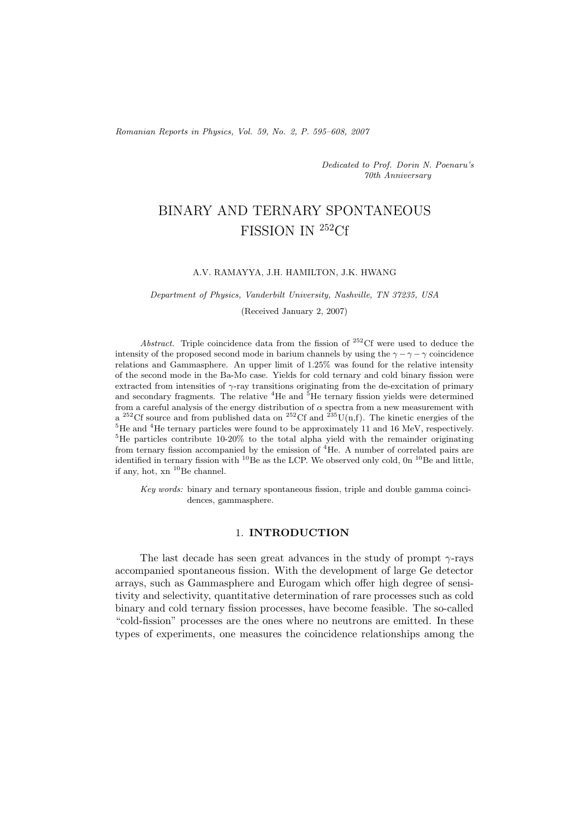*Romanian Reports in Physics, Vol. 59, No. 2, P. 595–608, 2007*

*Dedicated to Prof. Dorin N. Poenaru's 70th Anniversary*

# BINARY AND TERNARY SPONTANEOUS FISSION IN <sup>252</sup>Cf

#### A.V. RAMAYYA, J.H. HAMILTON, J.K. HWANG

#### *Department of Physics, Vanderbilt University, Nashville, TN 37235, USA*

(Received January 2, 2007)

*Abstract.* Triple coincidence data from the fission of <sup>252</sup>Cf were used to deduce the intensity of the proposed second mode in barium channels by using the  $\gamma - \gamma - \gamma$  coincidence relations and Gammasphere. An upper limit of 1.25% was found for the relative intensity of the second mode in the Ba-Mo case. Yields for cold ternary and cold binary fission were extracted from intensities of  $\gamma$ -ray transitions originating from the de-excitation of primary and secondary fragments. The relative  ${}^{4}$ He and  ${}^{5}$ He ternary fission yields were determined from a careful analysis of the energy distribution of  $\alpha$  spectra from a new measurement with a <sup>252</sup>Cf source and from published data on <sup>252</sup>Cf and <sup>235</sup>U(n,f). The kinetic energies of the <sup>5</sup>He and <sup>4</sup>He ternary particles were found to be approximately 11 and 16 MeV, respectively. <sup>5</sup>He particles contribute 10from ternary fission accompanied by the emission of  ${}^{4}$ He. A number of correlated pairs are identified in ternary fission with  ${}^{10}$ Be as the LCP. We observed only cold, 0n  ${}^{10}$ Be and little, if any, hot,  $xn$  <sup>10</sup>Be channel.

*Key words:* binary and ternary spontaneous fission, triple and double gamma coincidences, gammasphere.

#### 1. **INTRODUCTION**

The last decade has seen great advances in the study of prompt  $\gamma$ -rays accompanied spontaneous fission. With the development of large Ge detector arrays, such as Gammasphere and Eurogam which offer high degree of sensitivity and selectivity, quantitative determination of rare processes such as cold binary and cold ternary fission processes, have become feasible. The so-called "cold-fission" processes are the ones where no neutrons are emitted. In these types of experiments, one measures the coincidence relationships among the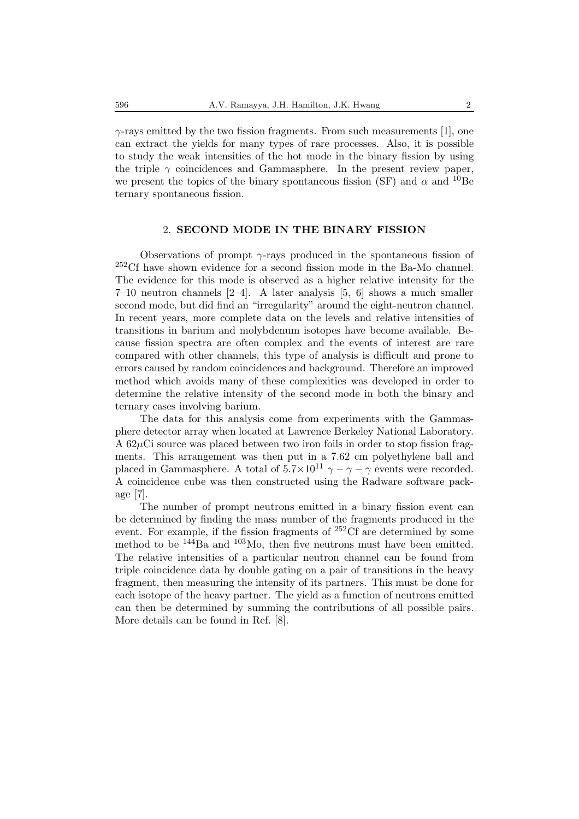$\gamma$ -rays emitted by the two fission fragments. From such measurements [1], one can extract the yields for many types of rare processes. Also, it is possible to study the weak intensities of the hot mode in the binary fission by using the triple  $\gamma$  coincidences and Gammasphere. In the present review paper, we present the topics of the binary spontaneous fission (SF) and  $\alpha$  and <sup>10</sup>Be ternary spontaneous fission.

#### 2. **SECOND MODE IN THE BINARY FISSION**

Observations of prompt  $\gamma$ -rays produced in the spontaneous fission of <sup>252</sup>Cf have shown evidence for a second fission mode in the Ba-Mo channel. The evidence for this mode is observed as a higher relative intensity for the 7–10 neutron channels [2–4]. A later analysis [5, 6] shows a much smaller second mode, but did find an "irregularity" around the eight-neutron channel. In recent years, more complete data on the levels and relative intensities of transitions in barium and molybdenum isotopes have become available. Because fission spectra are often complex and the events of interest are rare compared with other channels, this type of analysis is difficult and prone to errors caused by random coincidences and background. Therefore an improved method which avoids many of these complexities was developed in order to determine the relative intensity of the second mode in both the binary and ternary cases involving barium.

The data for this analysis come from experiments with the Gammasphere detector array when located at Lawrence Berkeley National Laboratory. A  $62\mu$ Ci source was placed between two iron foils in order to stop fission fragments. This arrangement was then put in a 7.62 cm polyethylene ball and placed in Gammasphere. A total of  $5.7\times10^{11}$   $\gamma - \gamma - \gamma$  events were recorded. A coincidence cube was then constructed using the Radware software package [7].

The number of prompt neutrons emitted in a binary fission event can be determined by finding the mass number of the fragments produced in the event. For example, if the fission fragments of <sup>252</sup>Cf are determined by some method to be <sup>144</sup>Ba and <sup>103</sup>Mo, then five neutrons must have been emitted. The relative intensities of a particular neutron channel can be found from triple coincidence data by double gating on a pair of transitions in the heavy fragment, then measuring the intensity of its partners. This must be done for each isotope of the heavy partner. The yield as a function of neutrons emitted can then be determined by summing the contributions of all possible pairs. More details can be found in Ref. [8].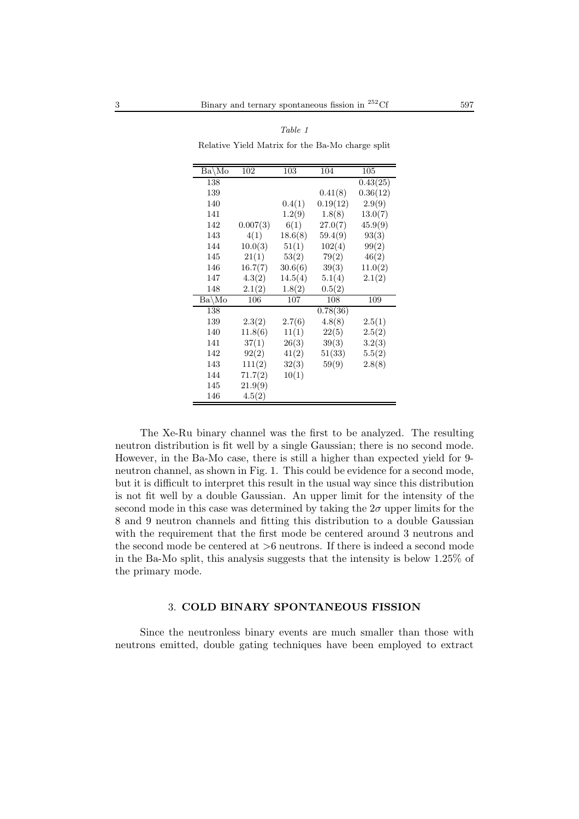| Ba\Mo   | 102      | 103     | 104      | 105                   |
|---------|----------|---------|----------|-----------------------|
| 138     |          |         |          | $\overline{0.43(25)}$ |
| 139     |          |         | 0.41(8)  | 0.36(12)              |
| 140     |          | 0.4(1)  | 0.19(12) | 2.9(9)                |
| 141     |          | 1.2(9)  | 1.8(8)   | 13.0(7)               |
| 142     | 0.007(3) | 6(1)    | 27.0(7)  | 45.9(9)               |
| 143     | 4(1)     | 18.6(8) | 59.4(9)  | 93(3)                 |
| 144     | 10.0(3)  | 51(1)   | 102(4)   | 99(2)                 |
| 145     | 21(1)    | 53(2)   | 79(2)    | 46(2)                 |
| 146     | 16.7(7)  | 30.6(6) | 39(3)    | 11.0(2)               |
| 147     | 4.3(2)   | 14.5(4) | 5.1(4)   | 2.1(2)                |
| 148     | 2.1(2)   | 1.8(2)  | 0.5(2)   |                       |
| $Ba\Mo$ | 106      | 107     | 108      | 109                   |
| 138     |          |         | 0.78(36) |                       |
| 139     | 2.3(2)   | 2.7(6)  | 4.8(8)   | 2.5(1)                |
| 140     | 11.8(6)  | 11(1)   | 22(5)    | 2.5(2)                |
| 141     | 37(1)    | 26(3)   | 39(3)    | 3.2(3)                |
| 142     | 92(2)    | 41(2)   | 51(33)   | 5.5(2)                |
| 143     | 111(2)   | 32(3)   | 59(9)    | 2.8(8)                |
| 144     | 71.7(2)  | 10(1)   |          |                       |
| 145     | 21.9(9)  |         |          |                       |
| 146     | 4.5(2)   |         |          |                       |

*Table 1* Relative Yield Matrix for the Ba-Mo charge split

The Xe-Ru binary channel was the first to be analyzed. The resulting neutron distribution is fit well by a single Gaussian; there is no second mode. However, in the Ba-Mo case, there is still a higher than expected yield for 9 neutron channel, as shown in Fig. 1. This could be evidence for a second mode, but it is difficult to interpret this result in the usual way since this distribution is not fit well by a double Gaussian. An upper limit for the intensity of the second mode in this case was determined by taking the  $2\sigma$  upper limits for the 8 and 9 neutron channels and fitting this distribution to a double Gaussian with the requirement that the first mode be centered around 3 neutrons and the second mode be centered at >6 neutrons. If there is indeed a second mode in the Ba-Mo split, this analysis suggests that the intensity is below 1.25% of the primary mode.

#### 3. **COLD BINARY SPONTANEOUS FISSION**

Since the neutronless binary events are much smaller than those with neutrons emitted, double gating techniques have been employed to extract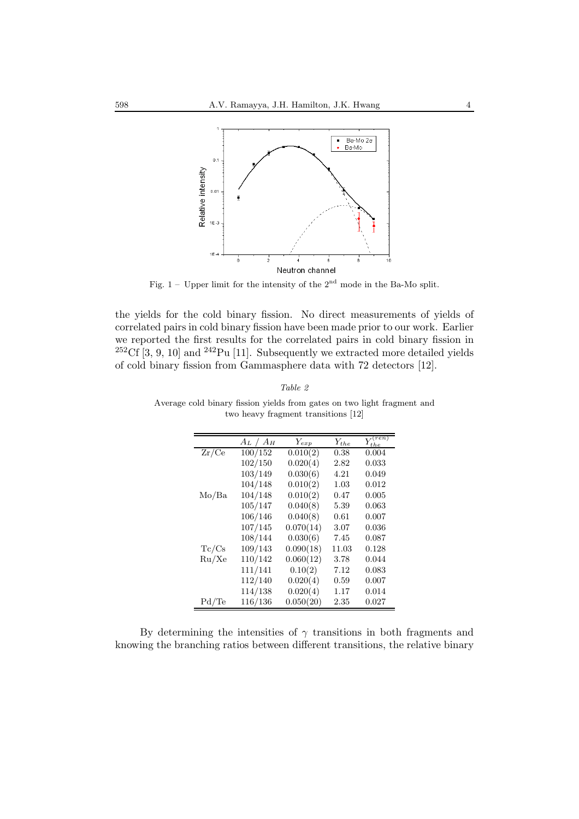

Fig.  $1$  – Upper limit for the intensity of the  $2<sup>nd</sup>$  mode in the Ba-Mo split.

the yields for the cold binary fission. No direct measurements of yields of correlated pairs in cold binary fission have been made prior to our work. Earlier we reported the first results for the correlated pairs in cold binary fission in  $252 \text{C}f$  [3, 9, 10] and  $242 \text{Pu}$  [11]. Subsequently we extracted more detailed yields of cold binary fission from Gammasphere data with 72 detectors [12].

| $0.01\epsilon$ |  |
|----------------|--|
|----------------|--|

|       | $A_L / A_H$ | $Y_{exp}$ | $Y_{the}$ | $Y^{(ren)}$<br>the |
|-------|-------------|-----------|-----------|--------------------|
| Zr/Ce | 100/152     | 0.010(2)  | 0.38      | 0.004              |
|       | 102/150     | 0.020(4)  | 2.82      | 0.033              |
|       | 103/149     | 0.030(6)  | 4.21      | 0.049              |
|       | 104/148     | 0.010(2)  | 1.03      | 0.012              |
| Mo/Ba | 104/148     | 0.010(2)  | 0.47      | 0.005              |
|       | 105/147     | 0.040(8)  | 5.39      | 0.063              |
|       | 106/146     | 0.040(8)  | 0.61      | 0.007              |
|       | 107/145     | 0.070(14) | 3.07      | 0.036              |
|       | 108/144     | 0.030(6)  | 7.45      | 0.087              |
| Tc/Cs | 109/143     | 0.090(18) | 11.03     | 0.128              |
| Ru/Xe | 110/142     | 0.060(12) | 3.78      | 0.044              |
|       | 111/141     | 0.10(2)   | 7.12      | 0.083              |
|       | 112/140     | 0.020(4)  | 0.59      | 0.007              |
|       | 114/138     | 0.020(4)  | 1.17      | 0.014              |
| Pd/Te | 116/136     | 0.050(20) | 2.35      | 0.027              |

Average cold binary fission yields from gates on two light fragment and two heavy fragment transitions [12]

By determining the intensities of  $\gamma$  transitions in both fragments and knowing the branching ratios between different transitions, the relative binary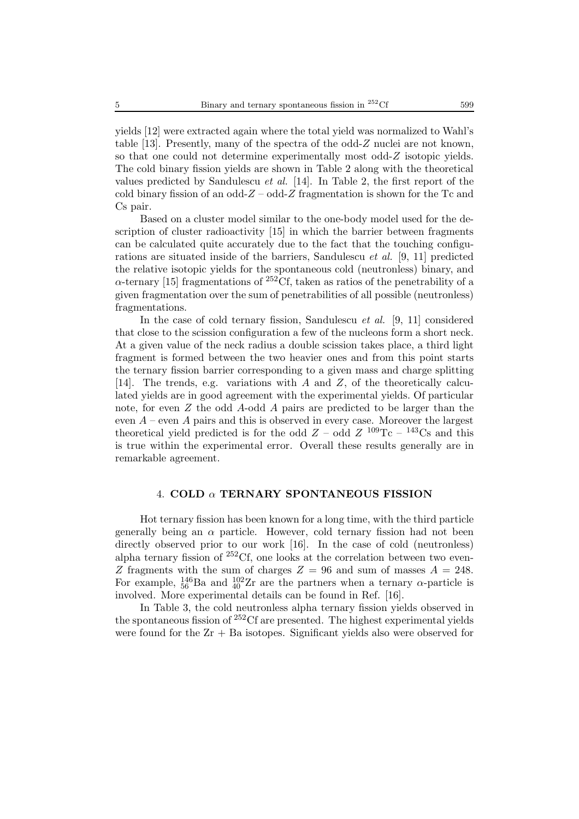yields [12] were extracted again where the total yield was normalized to Wahl's table [13]. Presently, many of the spectra of the odd-Z nuclei are not known, so that one could not determine experimentally most odd-Z isotopic yields. The cold binary fission yields are shown in Table 2 along with the theoretical values predicted by Sandulescu *et al.* [14]. In Table 2, the first report of the cold binary fission of an odd- $Z$  – odd- $Z$  fragmentation is shown for the Tc and Cs pair.

Based on a cluster model similar to the one-body model used for the description of cluster radioactivity [15] in which the barrier between fragments can be calculated quite accurately due to the fact that the touching configurations are situated inside of the barriers, Sandulescu *et al.* [9, 11] predicted the relative isotopic yields for the spontaneous cold (neutronless) binary, and  $\alpha$ -ternary [15] fragmentations of <sup>252</sup>Cf, taken as ratios of the penetrability of a given fragmentation over the sum of penetrabilities of all possible (neutronless) fragmentations.

In the case of cold ternary fission, Sandulescu *et al.* [9, 11] considered that close to the scission configuration a few of the nucleons form a short neck. At a given value of the neck radius a double scission takes place, a third light fragment is formed between the two heavier ones and from this point starts the ternary fission barrier corresponding to a given mass and charge splitting [14]. The trends, e.g. variations with A and Z, of the theoretically calculated yields are in good agreement with the experimental yields. Of particular note, for even Z the odd A-odd A pairs are predicted to be larger than the even  $A$  – even A pairs and this is observed in every case. Moreover the largest theoretical yield predicted is for the odd  $Z$  – odd  $Z$ <sup>109</sup>Tc – <sup>143</sup>Cs and this is true within the experimental error. Overall these results generally are in remarkable agreement.

#### 4. **COLD** α **TERNARY SPONTANEOUS FISSION**

Hot ternary fission has been known for a long time, with the third particle generally being an  $\alpha$  particle. However, cold ternary fission had not been directly observed prior to our work [16]. In the case of cold (neutronless) alpha ternary fission of  $252Cf$ , one looks at the correlation between two even-Z fragments with the sum of charges  $Z = 96$  and sum of masses  $A = 248$ . For example,  $^{146}_{56}$ Ba and  $^{102}_{40}Zr$  are the partners when a ternary  $\alpha$ -particle is involved. More experimental details can be found in Ref. [16].

In Table 3, the cold neutronless alpha ternary fission yields observed in the spontaneous fission of  $252 \text{C}$  are presented. The highest experimental yields were found for the  $Zr + Ba$  isotopes. Significant yields also were observed for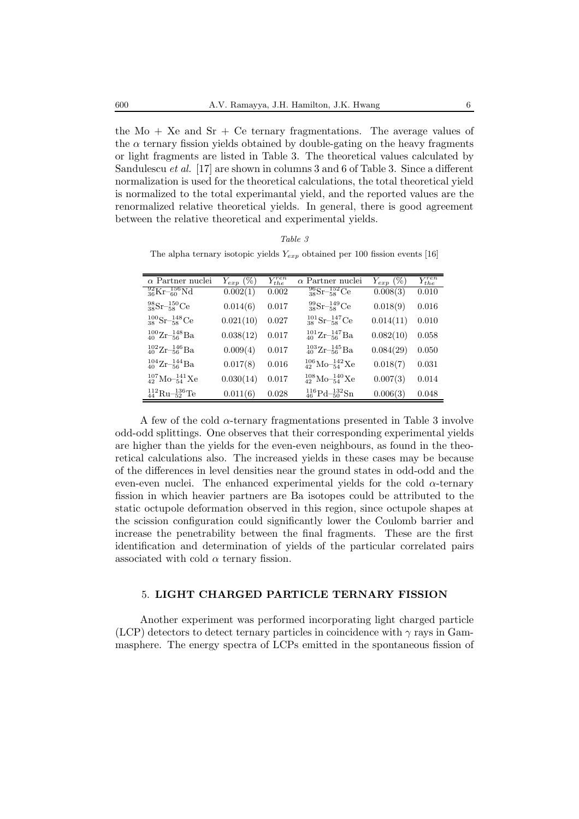the  $Mo + Xe$  and  $Sr + Ce$  ternary fragmentations. The average values of the  $\alpha$  ternary fission yields obtained by double-gating on the heavy fragments or light fragments are listed in Table 3. The theoretical values calculated by Sandulescu *et al.* [17] are shown in columns 3 and 6 of Table 3. Since a different normalization is used for the theoretical calculations, the total theoretical yield is normalized to the total experimantal yield, and the reported values are the renormalized relative theoretical yields. In general, there is good agreement between the relative theoretical and experimental yields.

| $\mathbf{r}$<br>abte |  |
|----------------------|--|
|----------------------|--|

The alpha ternary isotopic yields  $Y_{exp}$  obtained per 100 fission events [16]

| $\alpha$ Partner nuclei                          | $Y_{exp}$ (%) | $Y_{the}^{ren}$ | $\alpha$ Partner nuclei                     | $Y_{exp}$ (%) | $Y_{the}^{ren}$ |
|--------------------------------------------------|---------------|-----------------|---------------------------------------------|---------------|-----------------|
| $^{92}_{36}\text{Kr}^{-156}_{-60}\text{Nd}$      | 0.002(1)      | 0.002           | $^{96}_{38}\text{Sr}^{-152}_{-58}\text{Ce}$ | 0.008(3)      | 0.010           |
| ${}^{98}_{38}\text{Sr}^{-150}_{-58}\text{Ce}$    | 0.014(6)      | 0.017           | $^{99}_{38}\text{Sr}^{-149}_{-58}\text{Ce}$ | 0.018(9)      | 0.016           |
| $^{100}_{38}\text{Sr}^{-148}_{-58}\text{Ce}$     | 0.021(10)     | 0.027           | $^{101}_{38}\text{Sr}^{-147}_{58}\text{Ce}$ | 0.014(11)     | 0.010           |
| ${}^{100}_{40} \text{Zr}^{-148}_{-56} \text{Ba}$ | 0.038(12)     | 0.017           | $^{101}_{40}Zr_{56}^{-147}Ba$               | 0.082(10)     | 0.058           |
| ${}^{102}_{40}Zr_{56}^{-146}Ba$                  | 0.009(4)      | 0.017           | ${}^{103}_{40}Zr_{56}^{-145}Ba$             | 0.084(29)     | 0.050           |
| $^{104}_{40}Zr_{56}^{-144}Ba$                    | 0.017(8)      | 0.016           | $^{106}_{42}$ Mo- $^{142}_{54}$ Xe          | 0.018(7)      | 0.031           |
| $^{107}_{42}$ Mo- $^{141}_{54}$ Xe               | 0.030(14)     | 0.017           | $^{108}_{42}$ Mo- $^{140}_{54}$ Xe          | 0.007(3)      | 0.014           |
| $^{112}_{44} \text{Ru}^{-136}_{-52}$ Te          | 0.011(6)      | 0.028           | ${}^{116}_{46}Pd-{}^{132}_{50}Sn$           | 0.006(3)      | 0.048           |

A few of the cold  $\alpha$ -ternary fragmentations presented in Table 3 involve odd-odd splittings. One observes that their corresponding experimental yields are higher than the yields for the even-even neighbours, as found in the theoretical calculations also. The increased yields in these cases may be because of the differences in level densities near the ground states in odd-odd and the even-even nuclei. The enhanced experimental yields for the cold  $\alpha$ -ternary fission in which heavier partners are Ba isotopes could be attributed to the static octupole deformation observed in this region, since octupole shapes at the scission configuration could significantly lower the Coulomb barrier and increase the penetrability between the final fragments. These are the first identification and determination of yields of the particular correlated pairs associated with cold  $\alpha$  ternary fission.

#### 5. **LIGHT CHARGED PARTICLE TERNARY FISSION**

Another experiment was performed incorporating light charged particle (LCP) detectors to detect ternary particles in coincidence with  $\gamma$  rays in Gammasphere. The energy spectra of LCPs emitted in the spontaneous fission of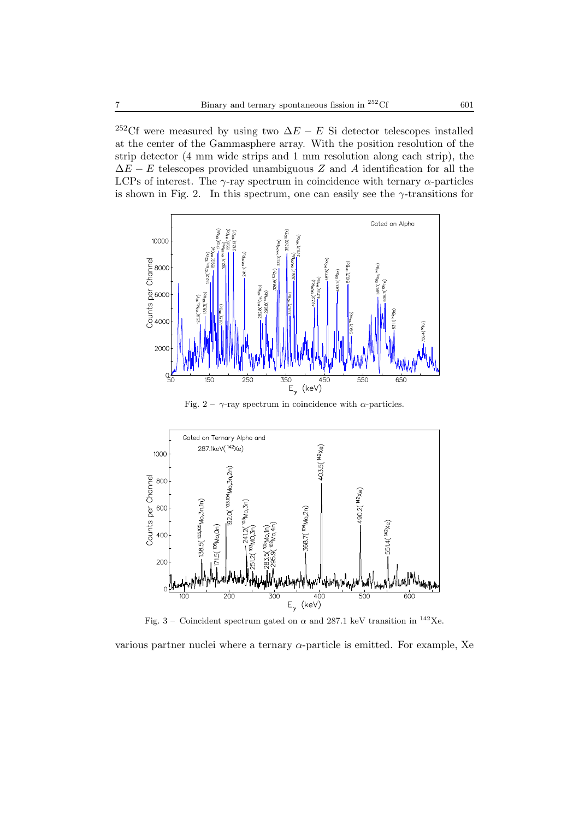<sup>252</sup>Cf were measured by using two  $\Delta E - E$  Si detector telescopes installed at the center of the Gammasphere array. With the position resolution of the strip detector (4 mm wide strips and 1 mm resolution along each strip), the  $\Delta E - E$  telescopes provided unambiguous Z and A identification for all the LCPs of interest. The  $\gamma$ -ray spectrum in coincidence with ternary  $\alpha$ -particles is shown in Fig. 2. In this spectrum, one can easily see the  $\gamma$ -transitions for



Fig. 2 –  $\gamma$ -ray spectrum in coincidence with  $\alpha$ -particles.



Fig. 3 – Coincident spectrum gated on  $\alpha$  and 287.1 keV transition in <sup>142</sup>Xe.

various partner nuclei where a ternary  $\alpha$ -particle is emitted. For example, Xe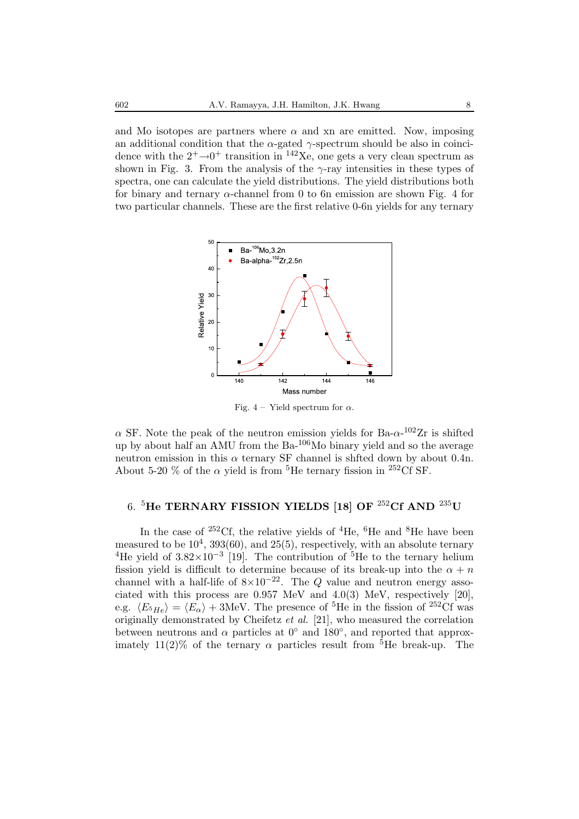and Mo isotopes are partners where  $\alpha$  and xn are emitted. Now, imposing an additional condition that the  $\alpha$ -gated  $\gamma$ -spectrum should be also in coincidence with the  $2^+ \rightarrow 0^+$  transition in <sup>142</sup>Xe, one gets a very clean spectrum as shown in Fig. 3. From the analysis of the  $\gamma$ -ray intensities in these types of spectra, one can calculate the yield distributions. The yield distributions both for binary and ternary α-channel from 0 to 6n emission are shown Fig. 4 for two particular channels. These are the first relative 0-6n yields for any ternary



Fig. 4 – Yield spectrum for  $\alpha$ .

 $\alpha$  SF. Note the peak of the neutron emission yields for Ba- $\alpha$ -<sup>102</sup>Zr is shifted up by about half an AMU from the Ba-106Mo binary yield and so the average neutron emission in this  $\alpha$  ternary SF channel is shfted down by about 0.4n. About 5-20 % of the  $\alpha$  yield is from <sup>5</sup>He ternary fission in <sup>252</sup>Cf SF.

### 6. <sup>5</sup>**He TERNARY FISSION YIELDS [18] OF** <sup>252</sup>**Cf AND** <sup>235</sup>**U**

In the case of  $252 \text{C}$ f, the relative yields of  $4\text{He}$ ,  $6\text{He}$  and  $8\text{He}$  have been measured to be  $10^4$ ,  $393(60)$ , and  $25(5)$ , respectively, with an absolute ternary <sup>4</sup>He yield of  $3.82\times10^{-3}$  [19]. The contribution of <sup>5</sup>He to the ternary helium fission yield is difficult to determine because of its break-up into the  $\alpha + n$ channel with a half-life of  $8\times10^{-22}$ . The Q value and neutron energy associated with this process are 0.957 MeV and 4.0(3) MeV, respectively [20], e.g.  $\langle E_{5He} \rangle = \langle E_{\alpha} \rangle + 3$ MeV. The presence of <sup>5</sup>He in the fission of <sup>252</sup>Cf was originally demonstrated by Cheifetz *et al.* [21], who measured the correlation between neutrons and  $\alpha$  particles at  $0^{\circ}$  and 180 $^{\circ}$ , and reported that approximately 11(2)% of the ternary  $\alpha$  particles result from <sup>5</sup>He break-up. The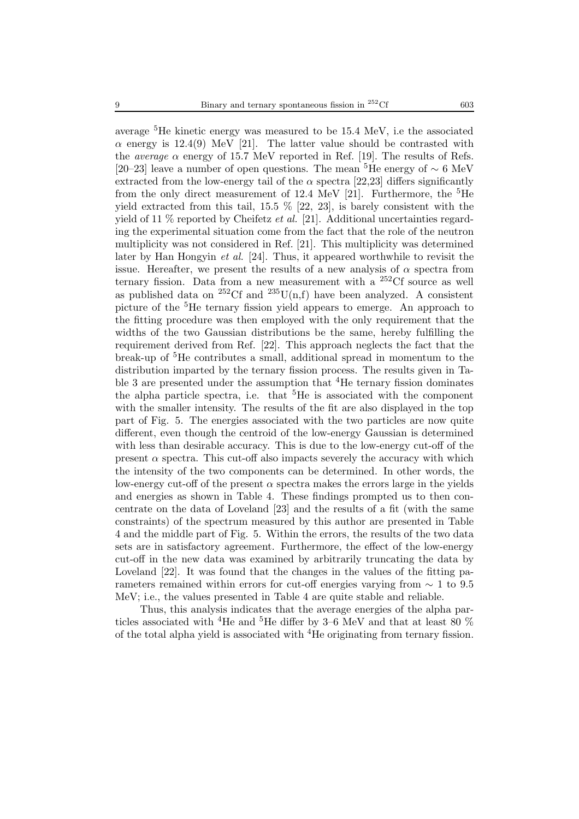average <sup>5</sup>He kinetic energy was measured to be 15.4 MeV, i.e the associated  $\alpha$  energy is 12.4(9) MeV [21]. The latter value should be contrasted with the *average*  $\alpha$  energy of 15.7 MeV reported in Ref. [19]. The results of Refs. [20–23] leave a number of open questions. The mean <sup>5</sup>He energy of  $\sim 6 \text{ MeV}$ extracted from the low-energy tail of the  $\alpha$  spectra [22,23] differs significantly from the only direct measurement of 12.4 MeV [21]. Furthermore, the  ${}^{5}$ He yield extracted from this tail,  $15.5\%$  [22, 23], is barely consistent with the yield of 11 % reported by Cheifetz *et al.* [21]. Additional uncertainties regarding the experimental situation come from the fact that the role of the neutron multiplicity was not considered in Ref. [21]. This multiplicity was determined later by Han Hongyin *et al.* [24]. Thus, it appeared worthwhile to revisit the issue. Hereafter, we present the results of a new analysis of  $\alpha$  spectra from ternary fission. Data from a new measurement with a  $252 \text{C}$ f source as well as published data on <sup>252</sup>Cf and <sup>235</sup>U(n,f) have been analyzed. A consistent picture of the <sup>5</sup>He ternary fission yield appears to emerge. An approach to the fitting procedure was then employed with the only requirement that the widths of the two Gaussian distributions be the same, hereby fulfilling the requirement derived from Ref. [22]. This approach neglects the fact that the break-up of <sup>5</sup>He contributes a small, additional spread in momentum to the distribution imparted by the ternary fission process. The results given in Table 3 are presented under the assumption that  ${}^{4}$ He ternary fission dominates the alpha particle spectra, i.e. that  ${}^{5}$ He is associated with the component with the smaller intensity. The results of the fit are also displayed in the top part of Fig. 5. The energies associated with the two particles are now quite different, even though the centroid of the low-energy Gaussian is determined with less than desirable accuracy. This is due to the low-energy cut-off of the present  $\alpha$  spectra. This cut-off also impacts severely the accuracy with which the intensity of the two components can be determined. In other words, the low-energy cut-off of the present  $\alpha$  spectra makes the errors large in the yields and energies as shown in Table 4. These findings prompted us to then concentrate on the data of Loveland [23] and the results of a fit (with the same constraints) of the spectrum measured by this author are presented in Table 4 and the middle part of Fig. 5. Within the errors, the results of the two data sets are in satisfactory agreement. Furthermore, the effect of the low-energy cut-off in the new data was examined by arbitrarily truncating the data by Loveland [22]. It was found that the changes in the values of the fitting parameters remained within errors for cut-off energies varying from ∼ 1 to 9.5 MeV; i.e., the values presented in Table 4 are quite stable and reliable.

Thus, this analysis indicates that the average energies of the alpha particles associated with <sup>4</sup>He and <sup>5</sup>He differ by 3–6 MeV and that at least 80  $\%$ of the total alpha yield is associated with <sup>4</sup>He originating from ternary fission.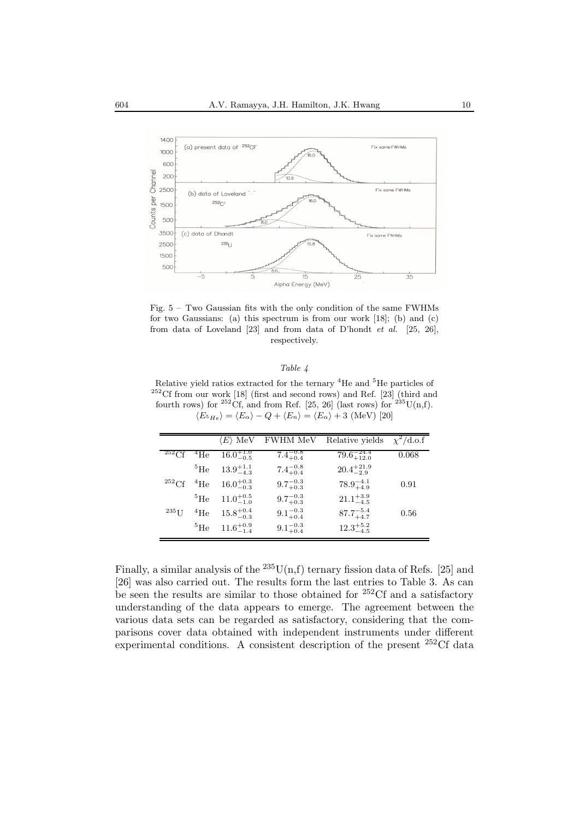

Fig. 5 – Two Gaussian fits with the only condition of the same FWHMs for two Gaussians: (a) this spectrum is from our work [18]; (b) and (c) from data of Loveland [23] and from data of D'hondt *et al.* [25, 26], respectively.

#### *Table 4*

Relative yield ratios extracted for the ternary <sup>4</sup>He and <sup>5</sup>He particles of  $^{252}$ Cf from our work [18] (first and second rows) and Ref. [23] (third and fourth rows) for <sup>252</sup>Cf, and from Ref. [25, 26] (last rows) for <sup>235</sup>U(n,f).  $\langle E_{5He} \rangle = \langle E_{\alpha} \rangle - Q + \langle E_{n} \rangle = \langle E_{\alpha} \rangle + 3$  (MeV) [20]

|                                       |             | $\langle E \rangle$ MeV                        | FWHM MeV            | Relative yields $\chi^2/\text{d.o.f}$ |       |
|---------------------------------------|-------------|------------------------------------------------|---------------------|---------------------------------------|-------|
| $252 \text{C} \text{f}$ $4 \text{He}$ |             | $16.0^{+1.0}_{-0.5}$                           | $7.4^{-0.8}_{+0.4}$ | $79.6_{+12.0}^{-24.4}$                | 0.068 |
|                                       |             | ${}^{5}He$ 13.9 <sup>+1.1</sup> <sub>4</sub> 3 | $7.4^{-0.8}_{+0.4}$ | $20.4^{+21.9}_{-2.9}$                 |       |
| $^{252}$ Cf $^{4}$ He                 |             | $16.0^{+0.3}_{-0.3}$                           | $9.7_{+0.3}^{-0.3}$ | $78.9^{-4.1}_{+4.9}$                  | 0.91  |
|                                       |             | $^{5}$ He $11.0^{+0.5}_{-1.0}$                 | $9.7_{+0.3}^{-0.3}$ | $21.1^{+3.9}_{-4.5}$                  |       |
| $^{235}$ U                            | $^{4}$ He   | $15.8^{+0.4}_{-0.3}$                           | $9.1_{+0.4}^{-0.3}$ | $87.7_{+4.7}^{-5.4}$                  | 0.56  |
|                                       | ${}^{5}$ He | $11.6^{+0.9}_{-1.4}$                           | $9.1_{+0.4}^{-0.3}$ | $12.3^{+5.2}_{-4.5}$                  |       |

Finally, a similar analysis of the  $^{235}$ U(n,f) ternary fission data of Refs. [25] and [26] was also carried out. The results form the last entries to Table 3. As can be seen the results are similar to those obtained for  $252 \text{C}$  and a satisfactory understanding of the data appears to emerge. The agreement between the various data sets can be regarded as satisfactory, considering that the comparisons cover data obtained with independent instruments under different experimental conditions. A consistent description of the present  $252 \text{C}$  data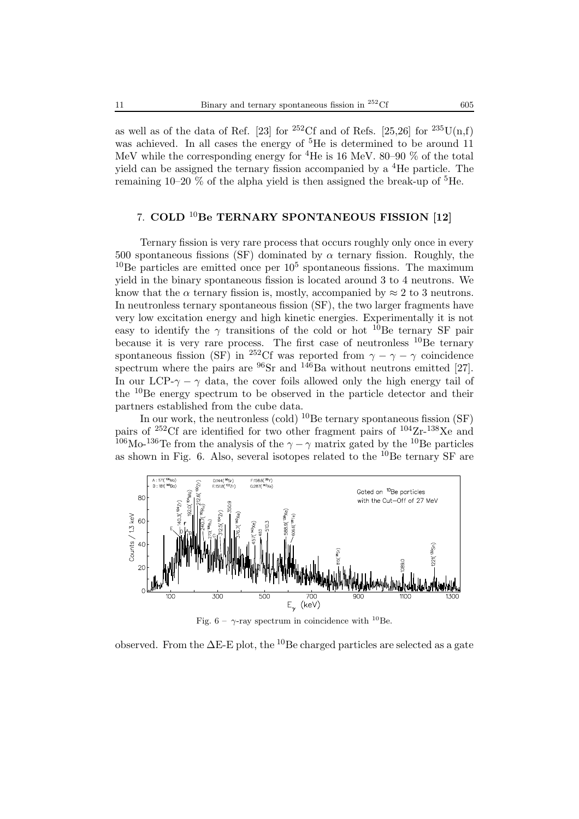as well as of the data of Ref. [23] for <sup>252</sup>Cf and of Refs. [25,26] for <sup>235</sup>U(n,f) was achieved. In all cases the energy of <sup>5</sup>He is determined to be around 11 MeV while the corresponding energy for <sup>4</sup>He is 16 MeV. 80–90  $\%$  of the total yield can be assigned the ternary fission accompanied by a <sup>4</sup>He particle. The remaining 10–20  $\%$  of the alpha yield is then assigned the break-up of  ${}^{5}$ He.

## 7. **COLD** <sup>10</sup>**Be TERNARY SPONTANEOUS FISSION [12]**

Ternary fission is very rare process that occurs roughly only once in every 500 spontaneous fissions (SF) dominated by  $\alpha$  ternary fission. Roughly, the  $10$ Be particles are emitted once per  $10<sup>5</sup>$  spontaneous fissions. The maximum yield in the binary spontaneous fission is located around 3 to 4 neutrons. We know that the  $\alpha$  ternary fission is, mostly, accompanied by  $\approx 2$  to 3 neutrons. In neutronless ternary spontaneous fission (SF), the two larger fragments have very low excitation energy and high kinetic energies. Experimentally it is not easy to identify the  $\gamma$  transitions of the cold or hot <sup>10</sup>Be ternary SF pair because it is very rare process. The first case of neutronless  $^{10}$ Be ternary spontaneous fission (SF) in <sup>252</sup>Cf was reported from  $\gamma - \gamma - \gamma$  coincidence spectrum where the pairs are  $96Sr$  and  $146Ba$  without neutrons emitted [27]. In our LCP- $\gamma - \gamma$  data, the cover foils allowed only the high energy tail of the  $10Be$  energy spectrum to be observed in the particle detector and their partners established from the cube data.

In our work, the neutronless (cold)  $^{10}$ Be ternary spontaneous fission (SF) pairs of  $^{252}$ Cf are identified for two other fragment pairs of  $^{104}Zr^{-138}Xe$  and <sup>106</sup>Mo-<sup>136</sup>Te from the analysis of the  $\gamma - \gamma$  matrix gated by the <sup>10</sup>Be particles as shown in Fig. 6. Also, several isotopes related to the  $^{10}$ Be ternary SF are



Fig. 6 –  $\gamma$ -ray spectrum in coincidence with <sup>10</sup>Be.

observed. From the  $\Delta E$ -E plot, the <sup>10</sup>Be charged particles are selected as a gate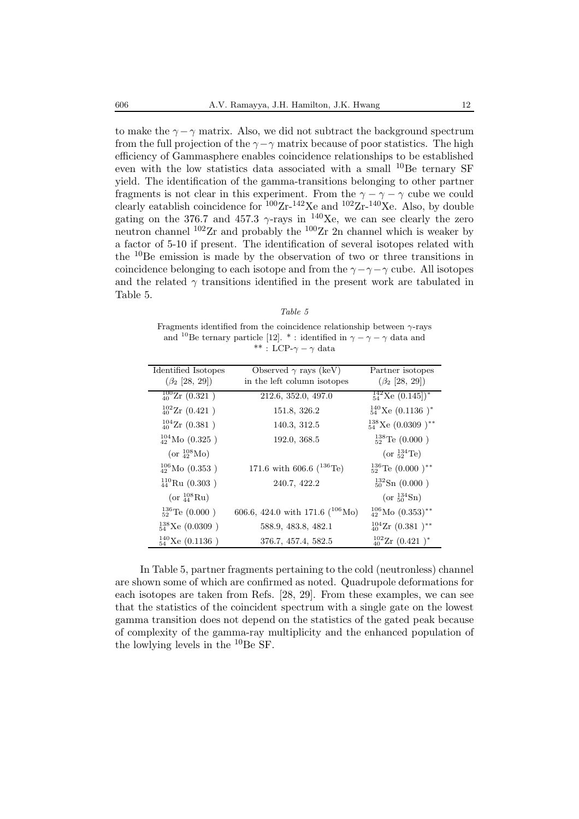to make the  $\gamma - \gamma$  matrix. Also, we did not subtract the background spectrum from the full projection of the  $\gamma$ − $\gamma$  matrix because of poor statistics. The high efficiency of Gammasphere enables coincidence relationships to be established even with the low statistics data associated with a small <sup>10</sup>Be ternary SF yield. The identification of the gamma-transitions belonging to other partner fragments is not clear in this experiment. From the  $\gamma - \gamma - \gamma$  cube we could clearly eatablish coincidence for  ${}^{100}Zr-{}^{142}Xe$  and  ${}^{102}Zr-{}^{140}Xe$ . Also, by double gating on the 376.7 and 457.3  $\gamma$ -rays in <sup>140</sup>Xe, we can see clearly the zero neutron channel  $102$ Zr and probably the  $100$ Zr 2n channel which is weaker by a factor of 5-10 if present. The identification of several isotopes related with the  $10$ Be emission is made by the observation of two or three transitions in coincidence belonging to each isotope and from the  $\gamma - \gamma - \gamma$  cube. All isotopes and the related  $\gamma$  transitions identified in the present work are tabulated in Table 5.

Fragments identified from the coincidence relationship between  $\gamma$ -rays and <sup>10</sup>Be ternary particle [12]. \*: identified in  $\gamma - \gamma - \gamma$  data and \*\* : LCP- $\gamma - \gamma$  data

| Identified Isotopes             | Observed $\gamma$ rays (keV)        | Partner isotopes                         |
|---------------------------------|-------------------------------------|------------------------------------------|
| $(\beta_2$ [28, 29])            | in the left column isotopes         | $(\beta_2$ [28, 29])                     |
| $\frac{100}{40}$ Zr $(0.321)$   | 212.6, 352.0, 497.0                 | $\frac{142}{54}$ Xe (0.145) <sup>*</sup> |
| $_{40}^{102}$ Zr (0.421)        | 151.8, 326.2                        | $^{140}_{54}$ Xe (0.1136) <sup>*</sup>   |
| $^{104}_{40}$ Zr (0.381)        | 140.3, 312.5                        | $^{138}_{54}$ Xe (0.0309) <sup>**</sup>  |
| $^{104}_{42}$ Mo (0.325)        | 192.0, 368.5                        | $^{138}_{52}$ Te (0.000)                 |
| (or $^{108}_{42}$ Mo)           |                                     | (or $^{134}_{52}$ Te)                    |
| $_{42}^{106}\text{Mo } (0.353)$ | 171.6 with 606.6 $(^{136}Te)$       | $^{136}_{52}$ Te (0.000) <sup>**</sup>   |
| $^{110}_{44}$ Ru (0.303)        | 240.7, 422.2                        | $^{132}_{50}Sn$ (0.000)                  |
| (or $^{108}_{44} \text{Ru}$ )   |                                     | (or $^{134}_{50}Sn$ )                    |
| $^{136}_{52}$ Te (0.000)        | 606.6, 424.0 with 171.6 $(^{106}Mo$ | $^{106}_{42}$ Mo $(0.353)$ <sup>**</sup> |
| $^{138}_{54}$ Xe (0.0309)       | 588.9, 483.8, 482.1                 | $_{40}^{104}Zr(0.381)^{**}$              |
| $^{140}_{54}$ Xe (0.1136)       | 376.7, 457.4, 582.5                 | $^{102}_{40}$ Zr $(0.421)^*$             |

In Table 5, partner fragments pertaining to the cold (neutronless) channel are shown some of which are confirmed as noted. Quadrupole deformations for each isotopes are taken from Refs. [28, 29]. From these examples, we can see that the statistics of the coincident spectrum with a single gate on the lowest gamma transition does not depend on the statistics of the gated peak because of complexity of the gamma-ray multiplicity and the enhanced population of the lowlying levels in the  ${}^{10}$ Be SF.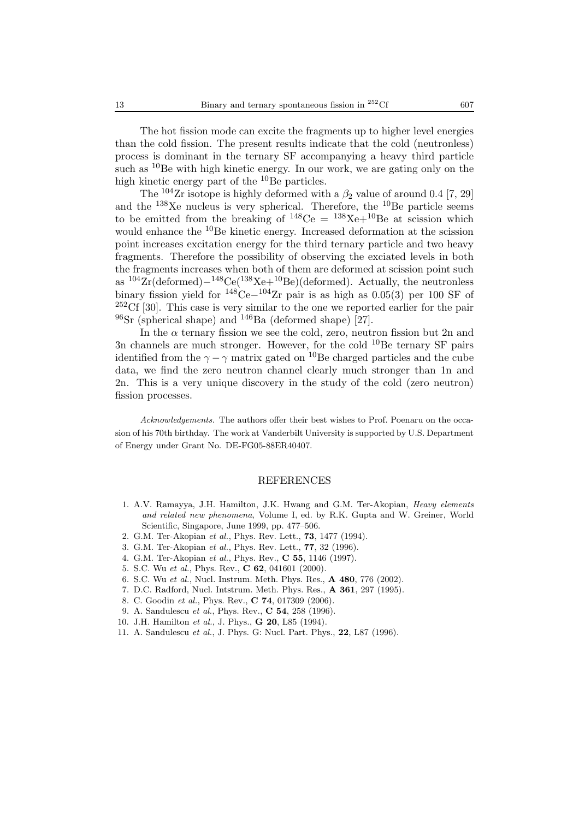The hot fission mode can excite the fragments up to higher level energies than the cold fission. The present results indicate that the cold (neutronless) process is dominant in the ternary SF accompanying a heavy third particle such as  ${}^{10}$ Be with high kinetic energy. In our work, we are gating only on the high kinetic energy part of the  $^{10}$ Be particles.

The <sup>104</sup>Zr isotope is highly deformed with a  $\beta_2$  value of around 0.4 [7, 29] and the  $138Xe$  nucleus is very spherical. Therefore, the  $10Be$  particle seems to be emitted from the breaking of  $148$ Ce =  $138$ Xe+ $10$ Be at scission which would enhance the  ${}^{10}$ Be kinetic energy. Increased deformation at the scission point increases excitation energy for the third ternary particle and two heavy fragments. Therefore the possibility of observing the exciated levels in both the fragments increases when both of them are deformed at scission point such as  $104Zr$ (deformed) $-148Ce(138Xe+10Be)$ (deformed). Actually, the neutronless binary fission yield for  $148\text{Ce}-104\text{Zr}$  pair is as high as  $0.05(3)$  per 100 SF of  $252 \text{C}$  [30]. This case is very similar to the one we reported earlier for the pair  $^{96}$ Sr (spherical shape) and  $^{146}$ Ba (deformed shape) [27].

In the  $\alpha$  ternary fission we see the cold, zero, neutron fission but 2n and 3n channels are much stronger. However, for the cold  $^{10}$ Be ternary SF pairs identified from the  $\gamma - \gamma$  matrix gated on <sup>10</sup>Be charged particles and the cube data, we find the zero neutron channel clearly much stronger than 1n and 2n. This is a very unique discovery in the study of the cold (zero neutron) fission processes.

*Acknowledgements.* The authors offer their best wishes to Prof. Poenaru on the occasion of his 70th birthday. The work at Vanderbilt University is supported by U.S. Department of Energy under Grant No. DE-FG05-88ER40407.

#### REFERENCES

- 1. A.V. Ramayya, J.H. Hamilton, J.K. Hwang and G.M. Ter-Akopian, *Heavy elements and related new phenomena*, Volume I, ed. by R.K. Gupta and W. Greiner, World Scientific, Singapore, June 1999, pp. 477–506.
- 2. G.M. Ter-Akopian *et al.*, Phys. Rev. Lett., **73**, 1477 (1994).
- 3. G.M. Ter-Akopian *et al.*, Phys. Rev. Lett., **77**, 32 (1996).
- 4. G.M. Ter-Akopian *et al.*, Phys. Rev., **C 55**, 1146 (1997).
- 5. S.C. Wu *et al.*, Phys. Rev., **C 62**, 041601 (2000).
- 6. S.C. Wu *et al.*, Nucl. Instrum. Meth. Phys. Res., **A 480**, 776 (2002).
- 7. D.C. Radford, Nucl. Intstrum. Meth. Phys. Res., **A 361**, 297 (1995).
- 8. C. Goodin *et al.*, Phys. Rev., **C 74**, 017309 (2006).
- 9. A. Sandulescu *et al.*, Phys. Rev., **C 54**, 258 (1996).
- 10. J.H. Hamilton *et al.*, J. Phys., **G 20**, L85 (1994).
- 11. A. Sandulescu *et al.*, J. Phys. G: Nucl. Part. Phys., **22**, L87 (1996).